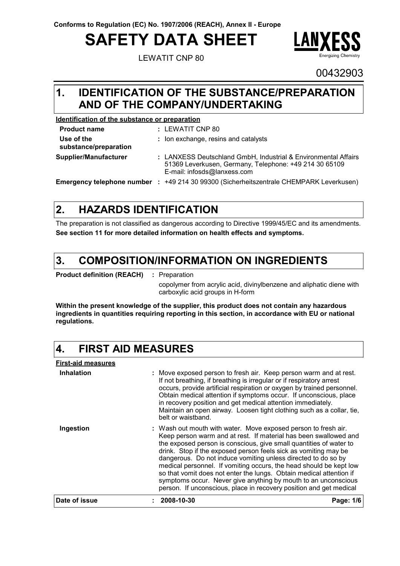**Conforms to Regulation (EC) No. 1907/2006 (REACH), Annex II - Europe**

# **SAFETY DATA SHEET**

LEWATIT CNP 80



00432903

### **IDENTIFICATION OF THE SUBSTANCE/PREPARATION 1. AND OF THE COMPANY/UNDERTAKING**

#### **Identification of the substance or preparation**

| <b>Product name</b>                 | : LEWATIT CNP 80                                                                                                                                        |
|-------------------------------------|---------------------------------------------------------------------------------------------------------------------------------------------------------|
| Use of the<br>substance/preparation | : Ion exchange, resins and catalysts                                                                                                                    |
| Supplier/Manufacturer               | : LANXESS Deutschland GmbH, Industrial & Environmental Affairs<br>51369 Leverkusen, Germany, Telephone: +49 214 30 65109<br>E-mail: infosds@lanxess.com |
| Emergency telephone number :        | +49 214 30 99300 (Sicherheitszentrale CHEMPARK Leverkusen)                                                                                              |

#### **HAZARDS IDENTIFICATION 2.**

The preparation is not classified as dangerous according to Directive 1999/45/EC and its amendments. **See section 11 for more detailed information on health effects and symptoms.**

#### **COMPOSITION/INFORMATION ON INGREDIENTS 3.**

**Product definition (REACH) :** : Preparation

> copolymer from acrylic acid, divinylbenzene and aliphatic diene with carboxylic acid groups in H-form

**Within the present knowledge of the supplier, this product does not contain any hazardous ingredients in quantities requiring reporting in this section, in accordance with EU or national regulations.**

#### **4. FIRST AID MEASURES**

**First-aid measures Ingestion Inhalation : :** Wash out mouth with water. Move exposed person to fresh air. Move exposed person to fresh air. Keep person warm and at rest. If not breathing, if breathing is irregular or if respiratory arrest occurs, provide artificial respiration or oxygen by trained personnel. Obtain medical attention if symptoms occur. If unconscious, place in recovery position and get medical attention immediately. Maintain an open airway. Loosen tight clothing such as a collar, tie, belt or waistband. Keep person warm and at rest. If material has been swallowed and the exposed person is conscious, give small quantities of water to drink. Stop if the exposed person feels sick as vomiting may be dangerous. Do not induce vomiting unless directed to do so by medical personnel. If vomiting occurs, the head should be kept low so that vomit does not enter the lungs. Obtain medical attention if symptoms occur. Never give anything by mouth to an unconscious person. If unconscious, place in recovery position and get medical **Date of issue : 2008-10-30 Page: 1/6**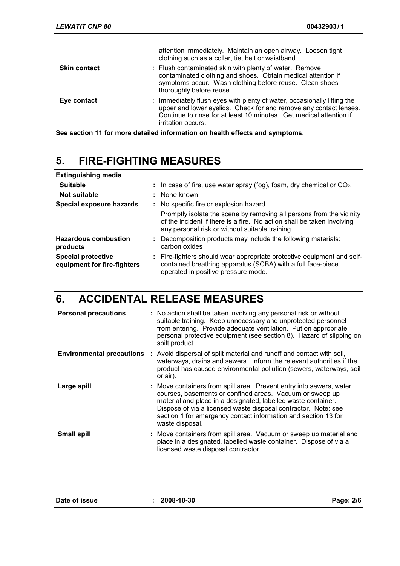| <b>LEWATIT CNP 80</b> | 00432903/1                                                                                                                                                                                                                                       |
|-----------------------|--------------------------------------------------------------------------------------------------------------------------------------------------------------------------------------------------------------------------------------------------|
|                       | attention immediately. Maintain an open airway. Loosen tight<br>clothing such as a collar, tie, belt or waistband.                                                                                                                               |
| <b>Skin contact</b>   | : Flush contaminated skin with plenty of water. Remove<br>contaminated clothing and shoes. Obtain medical attention if<br>symptoms occur. Wash clothing before reuse. Clean shoes<br>thoroughly before reuse.                                    |
| Eye contact           | : Immediately flush eyes with plenty of water, occasionally lifting the<br>upper and lower eyelids. Check for and remove any contact lenses.<br>Continue to rinse for at least 10 minutes. Get medical attention if<br><i>irritation occurs.</i> |

**See section 11 for more detailed information on health effects and symptoms.**

# **5. FIRE-FIGHTING MEASURES**

| <b>Extinguishing media</b>                               |                                                                                                                                                                                                   |
|----------------------------------------------------------|---------------------------------------------------------------------------------------------------------------------------------------------------------------------------------------------------|
| <b>Suitable</b>                                          | : In case of fire, use water spray (fog), foam, dry chemical or $CO2$ .                                                                                                                           |
| Not suitable                                             | : None known.                                                                                                                                                                                     |
| Special exposure hazards                                 | : No specific fire or explosion hazard.                                                                                                                                                           |
|                                                          | Promptly isolate the scene by removing all persons from the vicinity<br>of the incident if there is a fire. No action shall be taken involving<br>any personal risk or without suitable training. |
| <b>Hazardous combustion</b><br>products                  | : Decomposition products may include the following materials:<br>carbon oxides                                                                                                                    |
| <b>Special protective</b><br>equipment for fire-fighters | : Fire-fighters should wear appropriate protective equipment and self-<br>contained breathing apparatus (SCBA) with a full face-piece<br>operated in positive pressure mode.                      |

# **6. ACCIDENTAL RELEASE MEASURES**

| <b>Personal precautions</b> | : No action shall be taken involving any personal risk or without<br>suitable training. Keep unnecessary and unprotected personnel<br>from entering. Provide adequate ventilation. Put on appropriate<br>personal protective equipment (see section 8). Hazard of slipping on<br>spilt product.                                                         |
|-----------------------------|---------------------------------------------------------------------------------------------------------------------------------------------------------------------------------------------------------------------------------------------------------------------------------------------------------------------------------------------------------|
|                             | <b>Environmental precautions</b> : Avoid dispersal of spilt material and runoff and contact with soil,<br>waterways, drains and sewers. Inform the relevant authorities if the<br>product has caused environmental pollution (sewers, waterways, soil<br>or air).                                                                                       |
| Large spill                 | : Move containers from spill area. Prevent entry into sewers, water<br>courses, basements or confined areas. Vacuum or sweep up<br>material and place in a designated, labelled waste container.<br>Dispose of via a licensed waste disposal contractor. Note: see<br>section 1 for emergency contact information and section 13 for<br>waste disposal. |
| <b>Small spill</b>          | : Move containers from spill area. Vacuum or sweep up material and<br>place in a designated, labelled waste container. Dispose of via a<br>licensed waste disposal contractor.                                                                                                                                                                          |

| Date of issue | 2008-10-30 | Page: 2/6 |
|---------------|------------|-----------|
|               |            |           |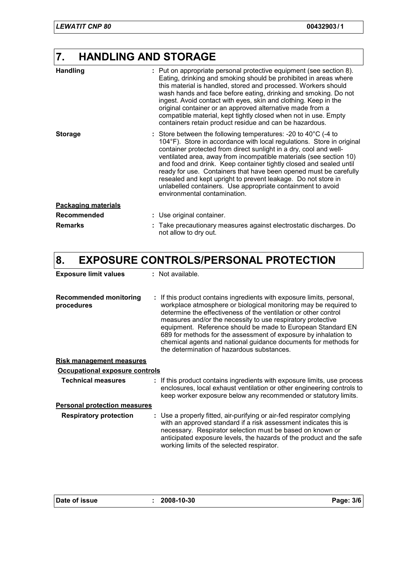## **7. HANDLING AND STORAGE**

| <b>Handling</b>            | : Put on appropriate personal protective equipment (see section 8).<br>Eating, drinking and smoking should be prohibited in areas where<br>this material is handled, stored and processed. Workers should<br>wash hands and face before eating, drinking and smoking. Do not<br>ingest. Avoid contact with eyes, skin and clothing. Keep in the<br>original container or an approved alternative made from a<br>compatible material, kept tightly closed when not in use. Empty<br>containers retain product residue and can be hazardous.                                                              |
|----------------------------|---------------------------------------------------------------------------------------------------------------------------------------------------------------------------------------------------------------------------------------------------------------------------------------------------------------------------------------------------------------------------------------------------------------------------------------------------------------------------------------------------------------------------------------------------------------------------------------------------------|
| <b>Storage</b>             | : Store between the following temperatures: -20 to $40^{\circ}$ C (-4 to<br>104°F). Store in accordance with local regulations. Store in original<br>container protected from direct sunlight in a dry, cool and well-<br>ventilated area, away from incompatible materials (see section 10)<br>and food and drink. Keep container tightly closed and sealed until<br>ready for use. Containers that have been opened must be carefully<br>resealed and kept upright to prevent leakage. Do not store in<br>unlabelled containers. Use appropriate containment to avoid<br>environmental contamination. |
| <b>Packaging materials</b> |                                                                                                                                                                                                                                                                                                                                                                                                                                                                                                                                                                                                         |
| Recommended                | : Use original container.                                                                                                                                                                                                                                                                                                                                                                                                                                                                                                                                                                               |
| <b>Remarks</b>             | Take precautionary measures against electrostatic discharges. Do<br>not allow to dry out.                                                                                                                                                                                                                                                                                                                                                                                                                                                                                                               |

# **8. EXPOSURE CONTROLS/PERSONAL PROTECTION**

| <b>Exposure limit values</b>                | : Not available.                                                                                                                                                                                                                                                                                                                                                                                                                                                                                                                |
|---------------------------------------------|---------------------------------------------------------------------------------------------------------------------------------------------------------------------------------------------------------------------------------------------------------------------------------------------------------------------------------------------------------------------------------------------------------------------------------------------------------------------------------------------------------------------------------|
| <b>Recommended monitoring</b><br>procedures | : If this product contains ingredients with exposure limits, personal,<br>workplace atmosphere or biological monitoring may be required to<br>determine the effectiveness of the ventilation or other control<br>measures and/or the necessity to use respiratory protective<br>equipment. Reference should be made to European Standard EN<br>689 for methods for the assessment of exposure by inhalation to<br>chemical agents and national guidance documents for methods for<br>the determination of hazardous substances. |
| <b>Risk management measures</b>             |                                                                                                                                                                                                                                                                                                                                                                                                                                                                                                                                 |
| Occupational exposure controls              |                                                                                                                                                                                                                                                                                                                                                                                                                                                                                                                                 |
| <b>Technical measures</b>                   | : If this product contains ingredients with exposure limits, use process<br>enclosures, local exhaust ventilation or other engineering controls to<br>keep worker exposure below any recommended or statutory limits.                                                                                                                                                                                                                                                                                                           |
| <b>Personal protection measures</b>         |                                                                                                                                                                                                                                                                                                                                                                                                                                                                                                                                 |
| <b>Respiratory protection</b>               | : Use a properly fitted, air-purifying or air-fed respirator complying<br>with an approved standard if a risk assessment indicates this is<br>necessary. Respirator selection must be based on known or<br>anticipated exposure levels, the hazards of the product and the safe<br>working limits of the selected respirator.                                                                                                                                                                                                   |

| Date of issue | 2008-10-30 | Page: 3/6 |
|---------------|------------|-----------|
|               |            |           |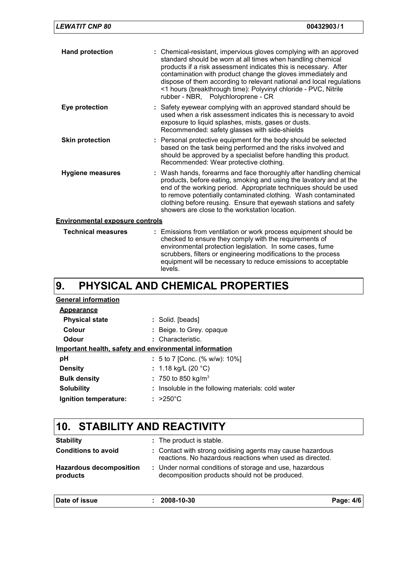| <b>LEWATIT CNP 80</b>                  | 00432903/1                                                                                                                                                                                                                                                                                                                                                                                                                                             |
|----------------------------------------|--------------------------------------------------------------------------------------------------------------------------------------------------------------------------------------------------------------------------------------------------------------------------------------------------------------------------------------------------------------------------------------------------------------------------------------------------------|
| <b>Hand protection</b>                 | : Chemical-resistant, impervious gloves complying with an approved<br>standard should be worn at all times when handling chemical<br>products if a risk assessment indicates this is necessary. After<br>contamination with product change the gloves immediately and<br>dispose of them according to relevant national and local regulations<br><1 hours (breakthrough time): Polyvinyl chloride - PVC, Nitrile<br>rubber - NBR, Polychloroprene - CR |
| Eye protection                         | : Safety eyewear complying with an approved standard should be<br>used when a risk assessment indicates this is necessary to avoid<br>exposure to liquid splashes, mists, gases or dusts.<br>Recommended: safety glasses with side-shields                                                                                                                                                                                                             |
| <b>Skin protection</b>                 | : Personal protective equipment for the body should be selected<br>based on the task being performed and the risks involved and<br>should be approved by a specialist before handling this product.<br>Recommended: Wear protective clothing.                                                                                                                                                                                                          |
| Hygiene measures                       | : Wash hands, forearms and face thoroughly after handling chemical<br>products, before eating, smoking and using the lavatory and at the<br>end of the working period. Appropriate techniques should be used<br>to remove potentially contaminated clothing. Wash contaminated<br>clothing before reusing. Ensure that eyewash stations and safety<br>showers are close to the workstation location.                                                   |
| <b>Environmental exposure controls</b> |                                                                                                                                                                                                                                                                                                                                                                                                                                                        |
| <b>Technical measures</b>              | : Emissions from ventilation or work process equipment should be                                                                                                                                                                                                                                                                                                                                                                                       |

| <b>Technical measures</b> | : Emissions from ventilation or work process equipment should be<br>checked to ensure they comply with the requirements of<br>environmental protection legislation. In some cases, fume<br>scrubbers, filters or engineering modifications to the process<br>equipment will be necessary to reduce emissions to acceptable<br>levels. |
|---------------------------|---------------------------------------------------------------------------------------------------------------------------------------------------------------------------------------------------------------------------------------------------------------------------------------------------------------------------------------|
|---------------------------|---------------------------------------------------------------------------------------------------------------------------------------------------------------------------------------------------------------------------------------------------------------------------------------------------------------------------------------|

#### **PHYSICAL AND CHEMICAL PROPERTIES 9.**

| <b>General information</b>                             |                                                    |  |  |  |
|--------------------------------------------------------|----------------------------------------------------|--|--|--|
| <b>Appearance</b>                                      |                                                    |  |  |  |
| <b>Physical state</b>                                  | : Solid. [beads]                                   |  |  |  |
| Colour                                                 | : Beige. to Grey. opaque                           |  |  |  |
| Odour                                                  | : Characteristic.                                  |  |  |  |
| Important health, safety and environmental information |                                                    |  |  |  |
| рH                                                     | : 5 to 7 [Conc. (% w/w): 10%]                      |  |  |  |
| <b>Density</b>                                         | : 1.18 kg/L (20 °C)                                |  |  |  |
| <b>Bulk density</b>                                    | : 750 to 850 kg/m <sup>3</sup>                     |  |  |  |
| <b>Solubility</b>                                      | : Insoluble in the following materials: cold water |  |  |  |
| Ignition temperature:                                  | $\therefore$ >250°C                                |  |  |  |

# **10. STABILITY AND REACTIVITY**

| Date of issue                                  | 2008-10-30                                                                                                                                         | Page: 4/6 |
|------------------------------------------------|----------------------------------------------------------------------------------------------------------------------------------------------------|-----------|
| <b>Hazardous decomposition</b><br>products     | : Under normal conditions of storage and use, hazardous<br>decomposition products should not be produced.                                          |           |
| <b>Stability</b><br><b>Conditions to avoid</b> | : The product is stable.<br>: Contact with strong oxidising agents may cause hazardous<br>reactions. No hazardous reactions when used as directed. |           |
|                                                |                                                                                                                                                    |           |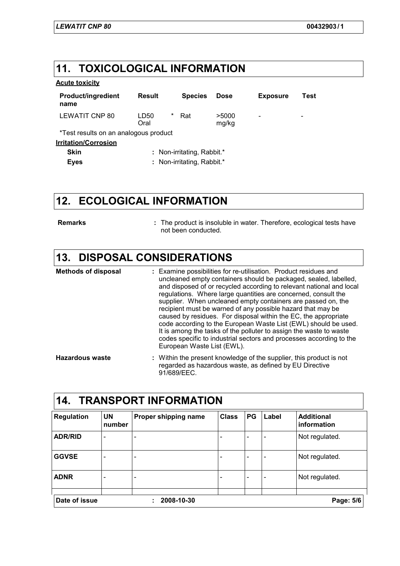### **11. TOXICOLOGICAL INFORMATION**

#### **Acute toxicity**

| <b>Product/ingredient</b><br>name     | Result                     | <b>Species</b> | <b>Dose</b>    | <b>Exposure</b>          | Test                     |  |
|---------------------------------------|----------------------------|----------------|----------------|--------------------------|--------------------------|--|
| LEWATIT CNP 80                        | *<br>LD50<br>Oral          | Rat            | >5000<br>mg/kg | $\overline{\phantom{0}}$ | $\overline{\phantom{a}}$ |  |
| *Test results on an analogous product |                            |                |                |                          |                          |  |
| <b>Irritation/Corrosion</b>           |                            |                |                |                          |                          |  |
| <b>Skin</b>                           | : Non-irritating, Rabbit.* |                |                |                          |                          |  |
| <b>Eyes</b>                           | : Non-irritating, Rabbit.* |                |                |                          |                          |  |

## **12. ECOLOGICAL INFORMATION**

**Remarks :**

The product is insoluble in water. Therefore, ecological tests have not been conducted.

### **13. DISPOSAL CONSIDERATIONS**

| <b>Methods of disposal</b> | : Examine possibilities for re-utilisation. Product residues and<br>uncleaned empty containers should be packaged, sealed, labelled,<br>and disposed of or recycled according to relevant national and local<br>regulations. Where large quantities are concerned, consult the<br>supplier. When uncleaned empty containers are passed on, the<br>recipient must be warned of any possible hazard that may be<br>caused by residues. For disposal within the EC, the appropriate<br>code according to the European Waste List (EWL) should be used.<br>It is among the tasks of the polluter to assign the waste to waste<br>codes specific to industrial sectors and processes according to the<br>European Waste List (EWL). |
|----------------------------|--------------------------------------------------------------------------------------------------------------------------------------------------------------------------------------------------------------------------------------------------------------------------------------------------------------------------------------------------------------------------------------------------------------------------------------------------------------------------------------------------------------------------------------------------------------------------------------------------------------------------------------------------------------------------------------------------------------------------------|
| Hazardous waste            | Within the present knowledge of the supplier, this product is not                                                                                                                                                                                                                                                                                                                                                                                                                                                                                                                                                                                                                                                              |

Within the present knowledge of the supplier, this product is not regarded as hazardous waste, as defined by EU Directive 91/689/EEC. **Hazardous waste :**

| 14.<br><b>Regulation</b> | <b>UN</b><br>number      | <b>TRANSPORT INFORMATION</b><br>Proper shipping name | <b>Class</b> | <b>PG</b>                | Label                    | <b>Additional</b><br>information |
|--------------------------|--------------------------|------------------------------------------------------|--------------|--------------------------|--------------------------|----------------------------------|
| <b>ADR/RID</b>           | $\overline{\phantom{0}}$ | ۰                                                    |              | ٠                        | ٠                        | Not regulated.                   |
| <b>GGVSE</b>             | -                        | $\qquad \qquad \blacksquare$                         |              | $\overline{\phantom{0}}$ | $\overline{\phantom{0}}$ | Not regulated.                   |
| <b>ADNR</b>              | $\overline{\phantom{0}}$ |                                                      |              | $\overline{\phantom{0}}$ | $\qquad \qquad$          | Not regulated.                   |
| Date of issue            |                          | 2008-10-30                                           |              |                          |                          | Page: 5/6                        |